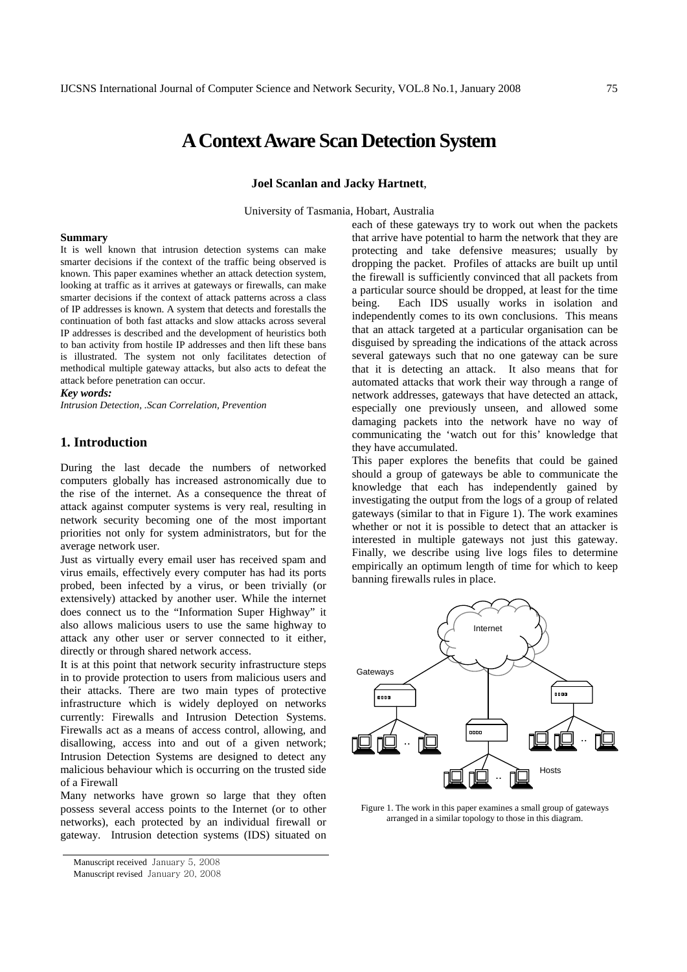**Joel Scanlan and Jacky Hartnett**,

University of Tasmania, Hobart, Australia

### **Summary**

It is well known that intrusion detection systems can make smarter decisions if the context of the traffic being observed is known. This paper examines whether an attack detection system, looking at traffic as it arrives at gateways or firewalls, can make smarter decisions if the context of attack patterns across a class of IP addresses is known. A system that detects and forestalls the continuation of both fast attacks and slow attacks across several IP addresses is described and the development of heuristics both to ban activity from hostile IP addresses and then lift these bans is illustrated. The system not only facilitates detection of methodical multiple gateway attacks, but also acts to defeat the attack before penetration can occur.

#### *Key words:*

*Intrusion Detection, .Scan Correlation, Prevention* 

# **1. Introduction**

During the last decade the numbers of networked computers globally has increased astronomically due to the rise of the internet. As a consequence the threat of attack against computer systems is very real, resulting in network security becoming one of the most important priorities not only for system administrators, but for the average network user.

Just as virtually every email user has received spam and virus emails, effectively every computer has had its ports probed, been infected by a virus, or been trivially (or extensively) attacked by another user. While the internet does connect us to the "Information Super Highway" it also allows malicious users to use the same highway to attack any other user or server connected to it either, directly or through shared network access.

It is at this point that network security infrastructure steps in to provide protection to users from malicious users and their attacks. There are two main types of protective infrastructure which is widely deployed on networks currently: Firewalls and Intrusion Detection Systems. Firewalls act as a means of access control, allowing, and disallowing, access into and out of a given network; Intrusion Detection Systems are designed to detect any malicious behaviour which is occurring on the trusted side of a Firewall

Many networks have grown so large that they often possess several access points to the Internet (or to other networks), each protected by an individual firewall or gateway. Intrusion detection systems (IDS) situated on

each of these gateways try to work out when the packets that arrive have potential to harm the network that they are protecting and take defensive measures; usually by dropping the packet. Profiles of attacks are built up until the firewall is sufficiently convinced that all packets from a particular source should be dropped, at least for the time being. Each IDS usually works in isolation and independently comes to its own conclusions. This means that an attack targeted at a particular organisation can be disguised by spreading the indications of the attack across several gateways such that no one gateway can be sure that it is detecting an attack. It also means that for automated attacks that work their way through a range of network addresses, gateways that have detected an attack, especially one previously unseen, and allowed some damaging packets into the network have no way of communicating the 'watch out for this' knowledge that they have accumulated.

This paper explores the benefits that could be gained should a group of gateways be able to communicate the knowledge that each has independently gained by investigating the output from the logs of a group of related gateways (similar to that in Figure 1). The work examines whether or not it is possible to detect that an attacker is interested in multiple gateways not just this gateway. Finally, we describe using live logs files to determine empirically an optimum length of time for which to keep banning firewalls rules in place.



Figure 1. The work in this paper examines a small group of gateways arranged in a similar topology to those in this diagram.

Manuscript received January 5, 2008

Manuscript revised January 20, 2008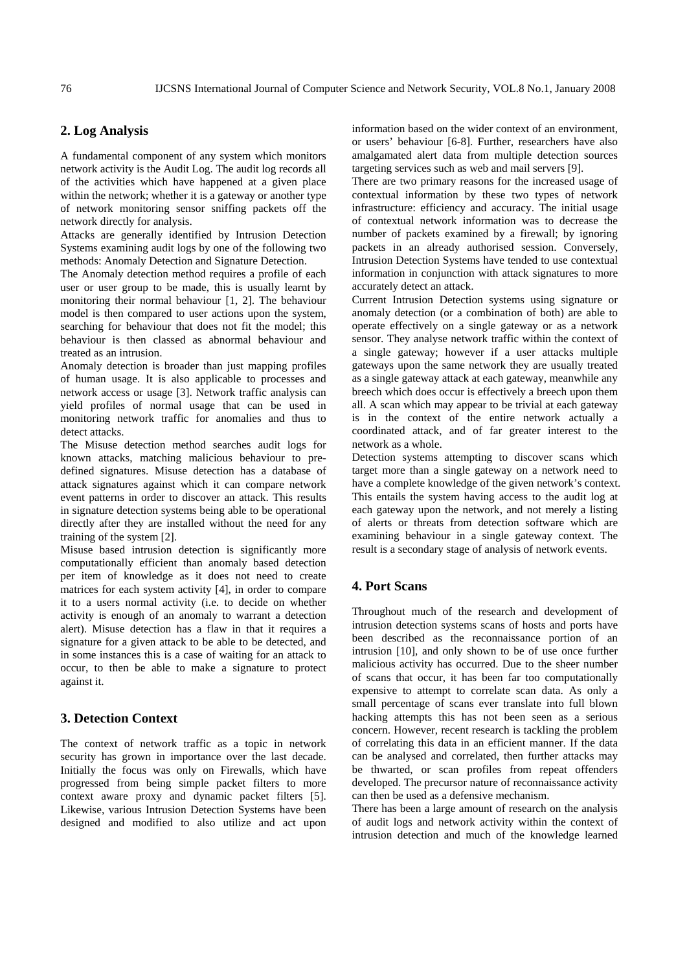# **2. Log Analysis**

A fundamental component of any system which monitors network activity is the Audit Log. The audit log records all of the activities which have happened at a given place within the network; whether it is a gateway or another type of network monitoring sensor sniffing packets off the network directly for analysis.

Attacks are generally identified by Intrusion Detection Systems examining audit logs by one of the following two methods: Anomaly Detection and Signature Detection.

The Anomaly detection method requires a profile of each user or user group to be made, this is usually learnt by monitoring their normal behaviour [1, 2]. The behaviour model is then compared to user actions upon the system, searching for behaviour that does not fit the model; this behaviour is then classed as abnormal behaviour and treated as an intrusion.

Anomaly detection is broader than just mapping profiles of human usage. It is also applicable to processes and network access or usage [3]. Network traffic analysis can yield profiles of normal usage that can be used in monitoring network traffic for anomalies and thus to detect attacks.

The Misuse detection method searches audit logs for known attacks, matching malicious behaviour to predefined signatures. Misuse detection has a database of attack signatures against which it can compare network event patterns in order to discover an attack. This results in signature detection systems being able to be operational directly after they are installed without the need for any training of the system [2].

Misuse based intrusion detection is significantly more computationally efficient than anomaly based detection per item of knowledge as it does not need to create matrices for each system activity [4], in order to compare it to a users normal activity (i.e. to decide on whether activity is enough of an anomaly to warrant a detection alert). Misuse detection has a flaw in that it requires a signature for a given attack to be able to be detected, and in some instances this is a case of waiting for an attack to occur, to then be able to make a signature to protect against it.

# **3. Detection Context**

The context of network traffic as a topic in network security has grown in importance over the last decade. Initially the focus was only on Firewalls, which have progressed from being simple packet filters to more context aware proxy and dynamic packet filters [5]. Likewise, various Intrusion Detection Systems have been designed and modified to also utilize and act upon information based on the wider context of an environment, or users' behaviour [6-8]. Further, researchers have also amalgamated alert data from multiple detection sources targeting services such as web and mail servers [9].

There are two primary reasons for the increased usage of contextual information by these two types of network infrastructure: efficiency and accuracy. The initial usage of contextual network information was to decrease the number of packets examined by a firewall; by ignoring packets in an already authorised session. Conversely, Intrusion Detection Systems have tended to use contextual information in conjunction with attack signatures to more accurately detect an attack.

Current Intrusion Detection systems using signature or anomaly detection (or a combination of both) are able to operate effectively on a single gateway or as a network sensor. They analyse network traffic within the context of a single gateway; however if a user attacks multiple gateways upon the same network they are usually treated as a single gateway attack at each gateway, meanwhile any breech which does occur is effectively a breech upon them all. A scan which may appear to be trivial at each gateway is in the context of the entire network actually a coordinated attack, and of far greater interest to the network as a whole.

Detection systems attempting to discover scans which target more than a single gateway on a network need to have a complete knowledge of the given network's context. This entails the system having access to the audit log at each gateway upon the network, and not merely a listing of alerts or threats from detection software which are examining behaviour in a single gateway context. The result is a secondary stage of analysis of network events.

# **4. Port Scans**

Throughout much of the research and development of intrusion detection systems scans of hosts and ports have been described as the reconnaissance portion of an intrusion [10], and only shown to be of use once further malicious activity has occurred. Due to the sheer number of scans that occur, it has been far too computationally expensive to attempt to correlate scan data. As only a small percentage of scans ever translate into full blown hacking attempts this has not been seen as a serious concern. However, recent research is tackling the problem of correlating this data in an efficient manner. If the data can be analysed and correlated, then further attacks may be thwarted, or scan profiles from repeat offenders developed. The precursor nature of reconnaissance activity can then be used as a defensive mechanism.

There has been a large amount of research on the analysis of audit logs and network activity within the context of intrusion detection and much of the knowledge learned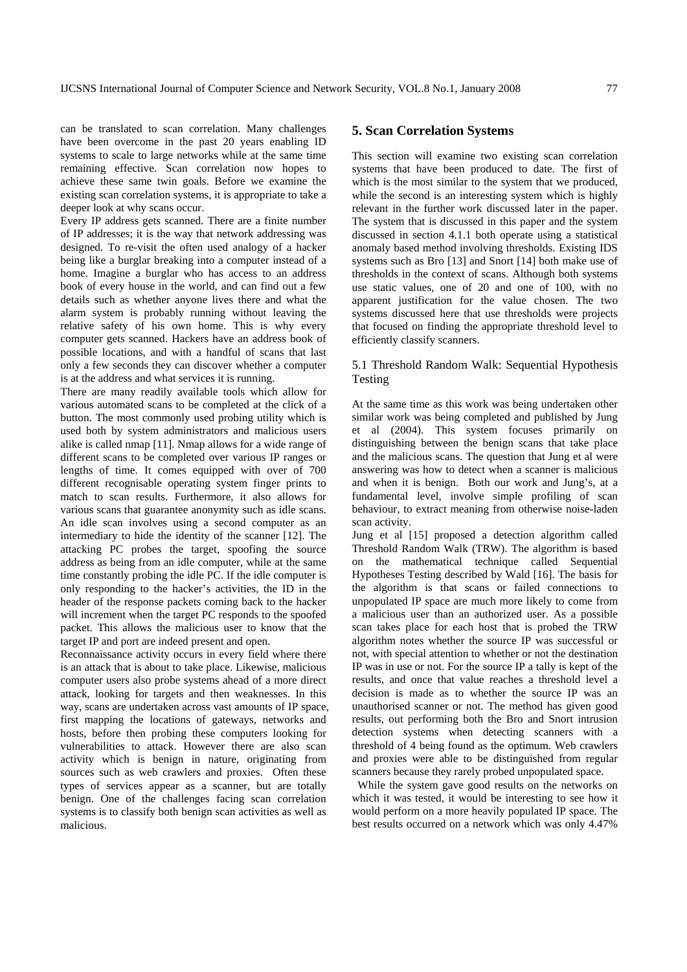can be translated to scan correlation. Many challenges have been overcome in the past 20 years enabling ID systems to scale to large networks while at the same time remaining effective. Scan correlation now hopes to achieve these same twin goals. Before we examine the existing scan correlation systems, it is appropriate to take a deeper look at why scans occur.

Every IP address gets scanned. There are a finite number of IP addresses; it is the way that network addressing was designed. To re-visit the often used analogy of a hacker being like a burglar breaking into a computer instead of a home. Imagine a burglar who has access to an address book of every house in the world, and can find out a few details such as whether anyone lives there and what the alarm system is probably running without leaving the relative safety of his own home. This is why every computer gets scanned. Hackers have an address book of possible locations, and with a handful of scans that last only a few seconds they can discover whether a computer is at the address and what services it is running.

There are many readily available tools which allow for various automated scans to be completed at the click of a button. The most commonly used probing utility which is used both by system administrators and malicious users alike is called nmap [11]. Nmap allows for a wide range of different scans to be completed over various IP ranges or lengths of time. It comes equipped with over of 700 different recognisable operating system finger prints to match to scan results. Furthermore, it also allows for various scans that guarantee anonymity such as idle scans. An idle scan involves using a second computer as an intermediary to hide the identity of the scanner [12]. The attacking PC probes the target, spoofing the source address as being from an idle computer, while at the same time constantly probing the idle PC. If the idle computer is only responding to the hacker's activities, the ID in the header of the response packets coming back to the hacker will increment when the target PC responds to the spoofed packet. This allows the malicious user to know that the target IP and port are indeed present and open.

Reconnaissance activity occurs in every field where there is an attack that is about to take place. Likewise, malicious computer users also probe systems ahead of a more direct attack, looking for targets and then weaknesses. In this way, scans are undertaken across vast amounts of IP space, first mapping the locations of gateways, networks and hosts, before then probing these computers looking for vulnerabilities to attack. However there are also scan activity which is benign in nature, originating from sources such as web crawlers and proxies. Often these types of services appear as a scanner, but are totally benign. One of the challenges facing scan correlation systems is to classify both benign scan activities as well as malicious.

# **5. Scan Correlation Systems**

This section will examine two existing scan correlation systems that have been produced to date. The first of which is the most similar to the system that we produced, while the second is an interesting system which is highly relevant in the further work discussed later in the paper. The system that is discussed in this paper and the system discussed in section 4.1.1 both operate using a statistical anomaly based method involving thresholds. Existing IDS systems such as Bro [13] and Snort [14] both make use of thresholds in the context of scans. Although both systems use static values, one of 20 and one of 100, with no apparent justification for the value chosen. The two systems discussed here that use thresholds were projects that focused on finding the appropriate threshold level to efficiently classify scanners.

5.1 Threshold Random Walk: Sequential Hypothesis Testing

At the same time as this work was being undertaken other similar work was being completed and published by Jung et al (2004). This system focuses primarily on distinguishing between the benign scans that take place and the malicious scans. The question that Jung et al were answering was how to detect when a scanner is malicious and when it is benign. Both our work and Jung's, at a fundamental level, involve simple profiling of scan behaviour, to extract meaning from otherwise noise-laden scan activity.

Jung et al [15] proposed a detection algorithm called Threshold Random Walk (TRW). The algorithm is based on the mathematical technique called Sequential Hypotheses Testing described by Wald [16]. The basis for the algorithm is that scans or failed connections to unpopulated IP space are much more likely to come from a malicious user than an authorized user. As a possible scan takes place for each host that is probed the TRW algorithm notes whether the source IP was successful or not, with special attention to whether or not the destination IP was in use or not. For the source IP a tally is kept of the results, and once that value reaches a threshold level a decision is made as to whether the source IP was an unauthorised scanner or not. The method has given good results, out performing both the Bro and Snort intrusion detection systems when detecting scanners with a threshold of 4 being found as the optimum. Web crawlers and proxies were able to be distinguished from regular scanners because they rarely probed unpopulated space.

 While the system gave good results on the networks on which it was tested, it would be interesting to see how it would perform on a more heavily populated IP space. The best results occurred on a network which was only 4.47%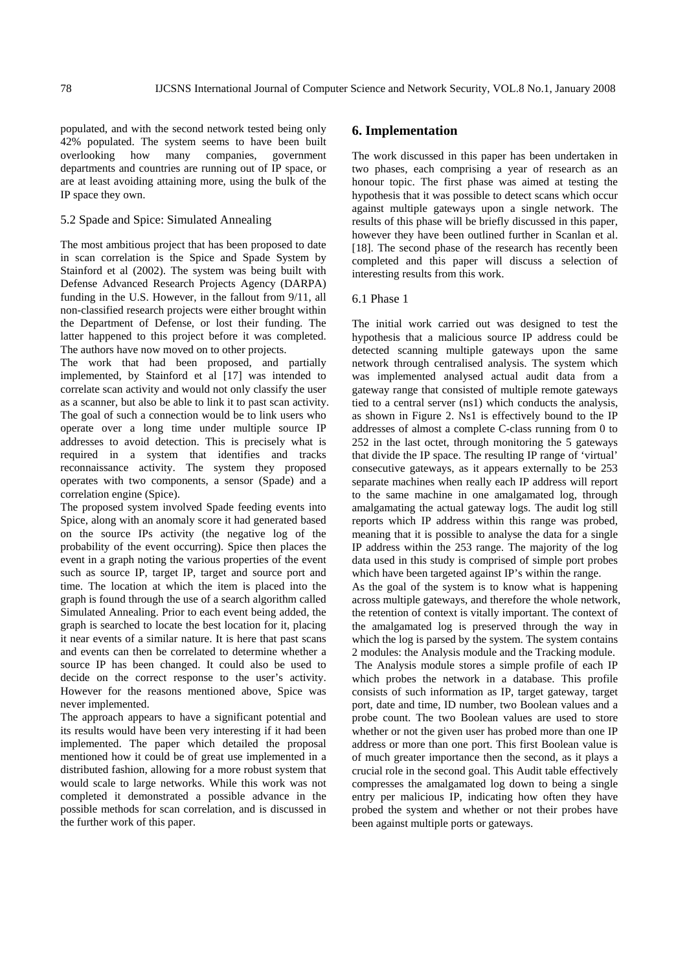populated, and with the second network tested being only 42% populated. The system seems to have been built overlooking how many companies, government departments and countries are running out of IP space, or are at least avoiding attaining more, using the bulk of the IP space they own.

# 5.2 Spade and Spice: Simulated Annealing

The most ambitious project that has been proposed to date in scan correlation is the Spice and Spade System by Stainford et al (2002). The system was being built with Defense Advanced Research Projects Agency (DARPA) funding in the U.S. However, in the fallout from 9/11, all non-classified research projects were either brought within the Department of Defense, or lost their funding. The latter happened to this project before it was completed. The authors have now moved on to other projects.

The work that had been proposed, and partially implemented, by Stainford et al [17] was intended to correlate scan activity and would not only classify the user as a scanner, but also be able to link it to past scan activity. The goal of such a connection would be to link users who operate over a long time under multiple source IP addresses to avoid detection. This is precisely what is required in a system that identifies and tracks reconnaissance activity. The system they proposed operates with two components, a sensor (Spade) and a correlation engine (Spice).

The proposed system involved Spade feeding events into Spice, along with an anomaly score it had generated based on the source IPs activity (the negative log of the probability of the event occurring). Spice then places the event in a graph noting the various properties of the event such as source IP, target IP, target and source port and time. The location at which the item is placed into the graph is found through the use of a search algorithm called Simulated Annealing. Prior to each event being added, the graph is searched to locate the best location for it, placing it near events of a similar nature. It is here that past scans and events can then be correlated to determine whether a source IP has been changed. It could also be used to decide on the correct response to the user's activity. However for the reasons mentioned above, Spice was never implemented.

The approach appears to have a significant potential and its results would have been very interesting if it had been implemented. The paper which detailed the proposal mentioned how it could be of great use implemented in a distributed fashion, allowing for a more robust system that would scale to large networks. While this work was not completed it demonstrated a possible advance in the possible methods for scan correlation, and is discussed in the further work of this paper.

# **6. Implementation**

The work discussed in this paper has been undertaken in two phases, each comprising a year of research as an honour topic. The first phase was aimed at testing the hypothesis that it was possible to detect scans which occur against multiple gateways upon a single network. The results of this phase will be briefly discussed in this paper, however they have been outlined further in Scanlan et al. [18]. The second phase of the research has recently been completed and this paper will discuss a selection of interesting results from this work.

### 6.1 Phase 1

The initial work carried out was designed to test the hypothesis that a malicious source IP address could be detected scanning multiple gateways upon the same network through centralised analysis. The system which was implemented analysed actual audit data from a gateway range that consisted of multiple remote gateways tied to a central server (ns1) which conducts the analysis, as shown in Figure 2. Ns1 is effectively bound to the IP addresses of almost a complete C-class running from 0 to 252 in the last octet, through monitoring the 5 gateways that divide the IP space. The resulting IP range of 'virtual' consecutive gateways, as it appears externally to be 253 separate machines when really each IP address will report to the same machine in one amalgamated log, through amalgamating the actual gateway logs. The audit log still reports which IP address within this range was probed, meaning that it is possible to analyse the data for a single IP address within the 253 range. The majority of the log data used in this study is comprised of simple port probes which have been targeted against IP's within the range. As the goal of the system is to know what is happening across multiple gateways, and therefore the whole network, the retention of context is vitally important. The context of the amalgamated log is preserved through the way in which the log is parsed by the system. The system contains 2 modules: the Analysis module and the Tracking module. The Analysis module stores a simple profile of each IP which probes the network in a database. This profile consists of such information as IP, target gateway, target port, date and time, ID number, two Boolean values and a probe count. The two Boolean values are used to store whether or not the given user has probed more than one IP address or more than one port. This first Boolean value is of much greater importance then the second, as it plays a crucial role in the second goal. This Audit table effectively compresses the amalgamated log down to being a single entry per malicious IP, indicating how often they have

probed the system and whether or not their probes have

been against multiple ports or gateways.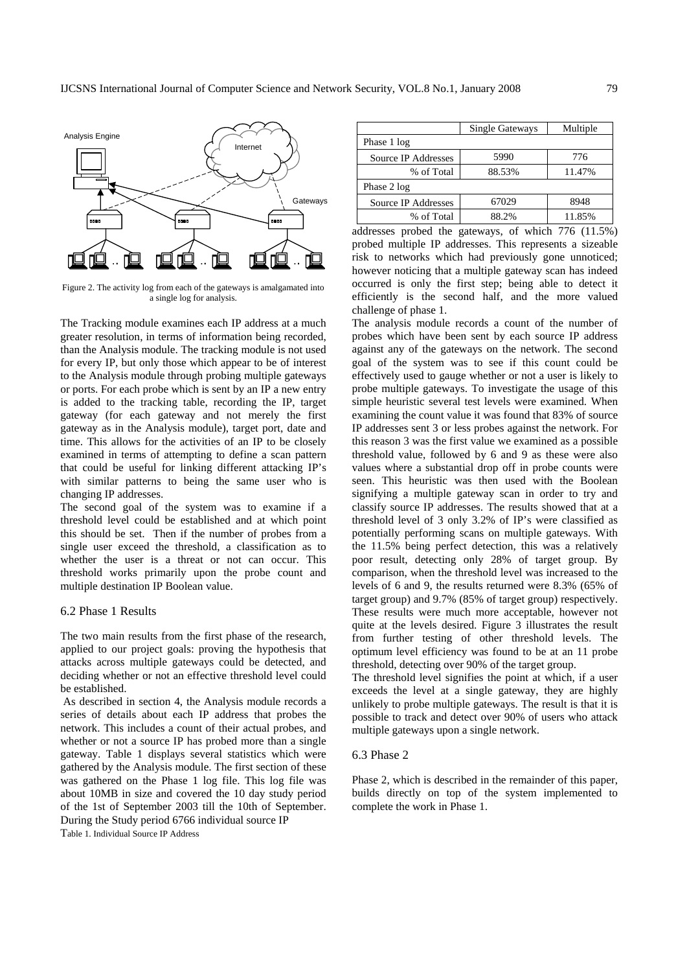

Figure 2. The activity log from each of the gateways is amalgamated into a single log for analysis.

The Tracking module examines each IP address at a much greater resolution, in terms of information being recorded, than the Analysis module. The tracking module is not used for every IP, but only those which appear to be of interest to the Analysis module through probing multiple gateways or ports. For each probe which is sent by an IP a new entry is added to the tracking table, recording the IP, target gateway (for each gateway and not merely the first gateway as in the Analysis module), target port, date and time. This allows for the activities of an IP to be closely examined in terms of attempting to define a scan pattern that could be useful for linking different attacking IP's with similar patterns to being the same user who is changing IP addresses.

The second goal of the system was to examine if a threshold level could be established and at which point this should be set. Then if the number of probes from a single user exceed the threshold, a classification as to whether the user is a threat or not can occur. This threshold works primarily upon the probe count and multiple destination IP Boolean value.

### 6.2 Phase 1 Results

The two main results from the first phase of the research, applied to our project goals: proving the hypothesis that attacks across multiple gateways could be detected, and deciding whether or not an effective threshold level could be established.

 As described in section 4, the Analysis module records a series of details about each IP address that probes the network. This includes a count of their actual probes, and whether or not a source IP has probed more than a single gateway. Table 1 displays several statistics which were gathered by the Analysis module. The first section of these was gathered on the Phase 1 log file. This log file was about 10MB in size and covered the 10 day study period of the 1st of September 2003 till the 10th of September. During the Study period 6766 individual source IP

Table 1. Individual Source IP Address

|                     | <b>Single Gateways</b> | Multiple |
|---------------------|------------------------|----------|
| Phase 1 log         |                        |          |
| Source IP Addresses | 5990                   | 776      |
| % of Total          | 88.53%                 | 11.47%   |
| Phase 2 log         |                        |          |
| Source IP Addresses | 67029                  | 8948     |
| % of Total          | 88.2%                  | 11.85%   |

addresses probed the gateways, of which 776 (11.5%) probed multiple IP addresses. This represents a sizeable risk to networks which had previously gone unnoticed; however noticing that a multiple gateway scan has indeed occurred is only the first step; being able to detect it efficiently is the second half, and the more valued challenge of phase 1.

The analysis module records a count of the number of probes which have been sent by each source IP address against any of the gateways on the network. The second goal of the system was to see if this count could be effectively used to gauge whether or not a user is likely to probe multiple gateways. To investigate the usage of this simple heuristic several test levels were examined. When examining the count value it was found that 83% of source IP addresses sent 3 or less probes against the network. For this reason 3 was the first value we examined as a possible threshold value, followed by 6 and 9 as these were also values where a substantial drop off in probe counts were seen. This heuristic was then used with the Boolean signifying a multiple gateway scan in order to try and classify source IP addresses. The results showed that at a threshold level of 3 only 3.2% of IP's were classified as potentially performing scans on multiple gateways. With the 11.5% being perfect detection, this was a relatively poor result, detecting only 28% of target group. By comparison, when the threshold level was increased to the levels of 6 and 9, the results returned were 8.3% (65% of target group) and 9.7% (85% of target group) respectively. These results were much more acceptable, however not quite at the levels desired. Figure 3 illustrates the result from further testing of other threshold levels. The optimum level efficiency was found to be at an 11 probe threshold, detecting over 90% of the target group.

The threshold level signifies the point at which, if a user exceeds the level at a single gateway, they are highly unlikely to probe multiple gateways. The result is that it is possible to track and detect over 90% of users who attack multiple gateways upon a single network.

### 6.3 Phase 2

Phase 2, which is described in the remainder of this paper, builds directly on top of the system implemented to complete the work in Phase 1.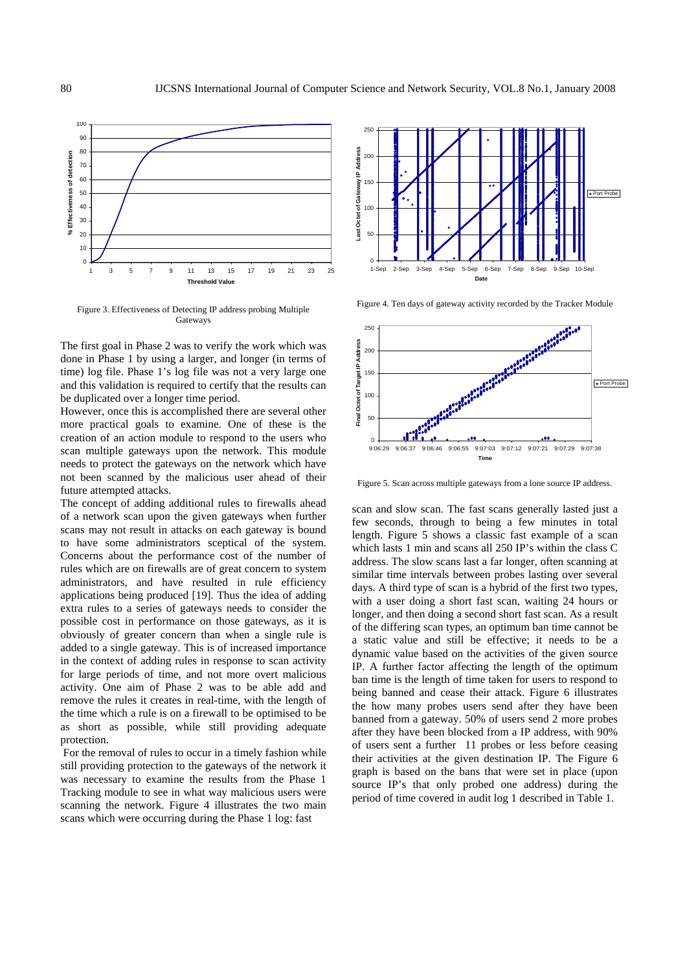

Figure 3. Effectiveness of Detecting IP address probing Multiple **Gateways** 

The first goal in Phase 2 was to verify the work which was done in Phase 1 by using a larger, and longer (in terms of time) log file. Phase 1's log file was not a very large one and this validation is required to certify that the results can be duplicated over a longer time period.

However, once this is accomplished there are several other more practical goals to examine. One of these is the creation of an action module to respond to the users who scan multiple gateways upon the network. This module needs to protect the gateways on the network which have not been scanned by the malicious user ahead of their future attempted attacks.

The concept of adding additional rules to firewalls ahead of a network scan upon the given gateways when further scans may not result in attacks on each gateway is bound to have some administrators sceptical of the system. Concerns about the performance cost of the number of rules which are on firewalls are of great concern to system administrators, and have resulted in rule efficiency applications being produced [19]. Thus the idea of adding extra rules to a series of gateways needs to consider the possible cost in performance on those gateways, as it is obviously of greater concern than when a single rule is added to a single gateway. This is of increased importance in the context of adding rules in response to scan activity for large periods of time, and not more overt malicious activity. One aim of Phase 2 was to be able add and remove the rules it creates in real-time, with the length of the time which a rule is on a firewall to be optimised to be as short as possible, while still providing adequate protection.

 For the removal of rules to occur in a timely fashion while still providing protection to the gateways of the network it was necessary to examine the results from the Phase 1 Tracking module to see in what way malicious users were scanning the network. Figure 4 illustrates the two main scans which were occurring during the Phase 1 log: fast



Figure 4. Ten days of gateway activity recorded by the Tracker Module



Figure 5. Scan across multiple gateways from a lone source IP address.

scan and slow scan. The fast scans generally lasted just a few seconds, through to being a few minutes in total length. Figure 5 shows a classic fast example of a scan which lasts 1 min and scans all 250 IP's within the class C address. The slow scans last a far longer, often scanning at similar time intervals between probes lasting over several days. A third type of scan is a hybrid of the first two types, with a user doing a short fast scan, waiting 24 hours or longer, and then doing a second short fast scan. As a result of the differing scan types, an optimum ban time cannot be a static value and still be effective; it needs to be a dynamic value based on the activities of the given source IP. A further factor affecting the length of the optimum ban time is the length of time taken for users to respond to being banned and cease their attack. Figure 6 illustrates the how many probes users send after they have been banned from a gateway. 50% of users send 2 more probes after they have been blocked from a IP address, with 90% of users sent a further 11 probes or less before ceasing their activities at the given destination IP. The Figure 6 graph is based on the bans that were set in place (upon source IP's that only probed one address) during the period of time covered in audit log 1 described in Table 1.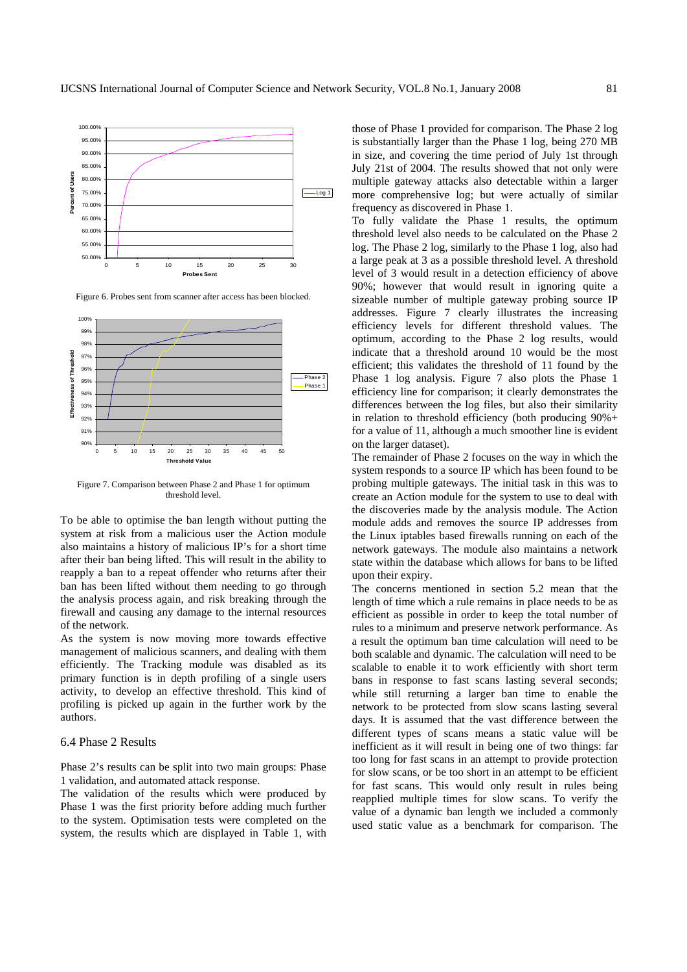

Figure 6. Probes sent from scanner after access has been blocked.



Figure 7. Comparison between Phase 2 and Phase 1 for optimum threshold level.

To be able to optimise the ban length without putting the system at risk from a malicious user the Action module also maintains a history of malicious IP's for a short time after their ban being lifted. This will result in the ability to reapply a ban to a repeat offender who returns after their ban has been lifted without them needing to go through the analysis process again, and risk breaking through the firewall and causing any damage to the internal resources of the network.

As the system is now moving more towards effective management of malicious scanners, and dealing with them efficiently. The Tracking module was disabled as its primary function is in depth profiling of a single users activity, to develop an effective threshold. This kind of profiling is picked up again in the further work by the authors.

## 6.4 Phase 2 Results

Phase 2's results can be split into two main groups: Phase 1 validation, and automated attack response.

The validation of the results which were produced by Phase 1 was the first priority before adding much further to the system. Optimisation tests were completed on the system, the results which are displayed in Table 1, with those of Phase 1 provided for comparison. The Phase 2 log is substantially larger than the Phase 1 log, being 270 MB in size, and covering the time period of July 1st through July 21st of 2004. The results showed that not only were multiple gateway attacks also detectable within a larger more comprehensive log; but were actually of similar frequency as discovered in Phase 1.

To fully validate the Phase 1 results, the optimum threshold level also needs to be calculated on the Phase 2 log. The Phase 2 log, similarly to the Phase 1 log, also had a large peak at 3 as a possible threshold level. A threshold level of 3 would result in a detection efficiency of above 90%; however that would result in ignoring quite a sizeable number of multiple gateway probing source IP addresses. Figure 7 clearly illustrates the increasing efficiency levels for different threshold values. The optimum, according to the Phase 2 log results, would indicate that a threshold around 10 would be the most efficient; this validates the threshold of 11 found by the Phase 1 log analysis. Figure 7 also plots the Phase 1 efficiency line for comparison; it clearly demonstrates the differences between the log files, but also their similarity in relation to threshold efficiency (both producing 90%+ for a value of 11, although a much smoother line is evident on the larger dataset).

The remainder of Phase 2 focuses on the way in which the system responds to a source IP which has been found to be probing multiple gateways. The initial task in this was to create an Action module for the system to use to deal with the discoveries made by the analysis module. The Action module adds and removes the source IP addresses from the Linux iptables based firewalls running on each of the network gateways. The module also maintains a network state within the database which allows for bans to be lifted upon their expiry.

The concerns mentioned in section 5.2 mean that the length of time which a rule remains in place needs to be as efficient as possible in order to keep the total number of rules to a minimum and preserve network performance. As a result the optimum ban time calculation will need to be both scalable and dynamic. The calculation will need to be scalable to enable it to work efficiently with short term bans in response to fast scans lasting several seconds; while still returning a larger ban time to enable the network to be protected from slow scans lasting several days. It is assumed that the vast difference between the different types of scans means a static value will be inefficient as it will result in being one of two things: far too long for fast scans in an attempt to provide protection for slow scans, or be too short in an attempt to be efficient for fast scans. This would only result in rules being reapplied multiple times for slow scans. To verify the value of a dynamic ban length we included a commonly used static value as a benchmark for comparison. The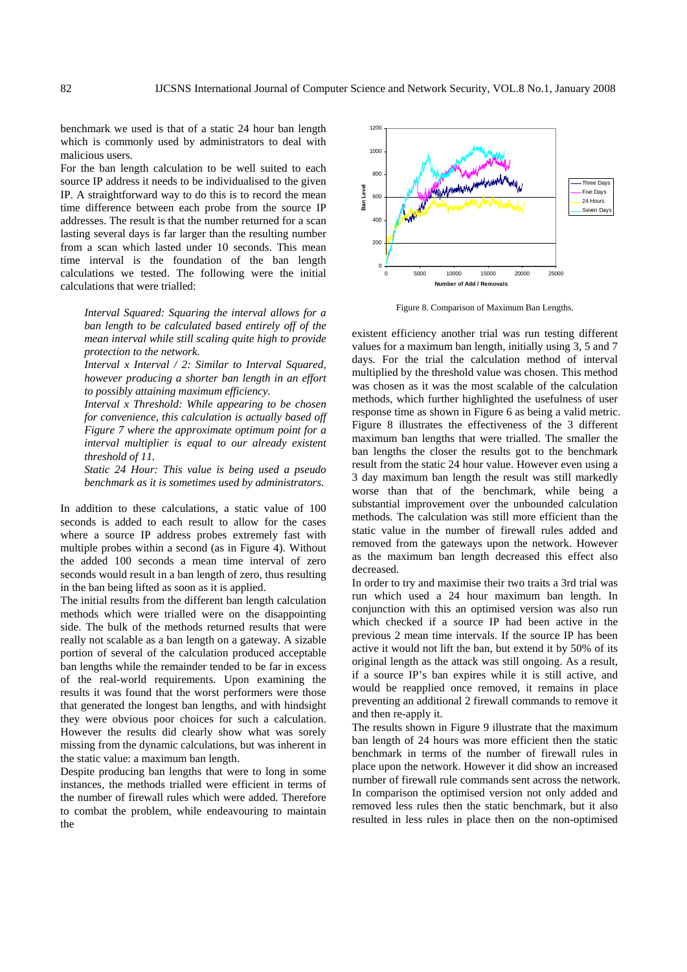benchmark we used is that of a static 24 hour ban length which is commonly used by administrators to deal with malicious users.

For the ban length calculation to be well suited to each source IP address it needs to be individualised to the given IP. A straightforward way to do this is to record the mean time difference between each probe from the source IP addresses. The result is that the number returned for a scan lasting several days is far larger than the resulting number from a scan which lasted under 10 seconds. This mean time interval is the foundation of the ban length calculations we tested. The following were the initial calculations that were trialled:

*Interval Squared: Squaring the interval allows for a ban length to be calculated based entirely off of the mean interval while still scaling quite high to provide protection to the network.* 

*Interval x Interval / 2: Similar to Interval Squared, however producing a shorter ban length in an effort to possibly attaining maximum efficiency.* 

*Interval x Threshold: While appearing to be chosen for convenience, this calculation is actually based off Figure 7 where the approximate optimum point for a interval multiplier is equal to our already existent threshold of 11.* 

*Static 24 Hour: This value is being used a pseudo benchmark as it is sometimes used by administrators.* 

In addition to these calculations, a static value of 100 seconds is added to each result to allow for the cases where a source IP address probes extremely fast with multiple probes within a second (as in Figure 4). Without the added 100 seconds a mean time interval of zero seconds would result in a ban length of zero, thus resulting in the ban being lifted as soon as it is applied.

The initial results from the different ban length calculation methods which were trialled were on the disappointing side. The bulk of the methods returned results that were really not scalable as a ban length on a gateway. A sizable portion of several of the calculation produced acceptable ban lengths while the remainder tended to be far in excess of the real-world requirements. Upon examining the results it was found that the worst performers were those that generated the longest ban lengths, and with hindsight they were obvious poor choices for such a calculation. However the results did clearly show what was sorely missing from the dynamic calculations, but was inherent in the static value: a maximum ban length.

Despite producing ban lengths that were to long in some instances, the methods trialled were efficient in terms of the number of firewall rules which were added. Therefore to combat the problem, while endeavouring to maintain the



Figure 8. Comparison of Maximum Ban Lengths.

existent efficiency another trial was run testing different values for a maximum ban length, initially using 3, 5 and 7 days. For the trial the calculation method of interval multiplied by the threshold value was chosen. This method was chosen as it was the most scalable of the calculation methods, which further highlighted the usefulness of user response time as shown in Figure 6 as being a valid metric. Figure 8 illustrates the effectiveness of the 3 different maximum ban lengths that were trialled. The smaller the ban lengths the closer the results got to the benchmark result from the static 24 hour value. However even using a 3 day maximum ban length the result was still markedly worse than that of the benchmark, while being a substantial improvement over the unbounded calculation methods. The calculation was still more efficient than the static value in the number of firewall rules added and removed from the gateways upon the network. However as the maximum ban length decreased this effect also decreased.

In order to try and maximise their two traits a 3rd trial was run which used a 24 hour maximum ban length. In conjunction with this an optimised version was also run which checked if a source IP had been active in the previous 2 mean time intervals. If the source IP has been active it would not lift the ban, but extend it by 50% of its original length as the attack was still ongoing. As a result, if a source IP's ban expires while it is still active, and would be reapplied once removed, it remains in place preventing an additional 2 firewall commands to remove it and then re-apply it.

The results shown in Figure 9 illustrate that the maximum ban length of 24 hours was more efficient then the static benchmark in terms of the number of firewall rules in place upon the network. However it did show an increased number of firewall rule commands sent across the network. In comparison the optimised version not only added and removed less rules then the static benchmark, but it also resulted in less rules in place then on the non-optimised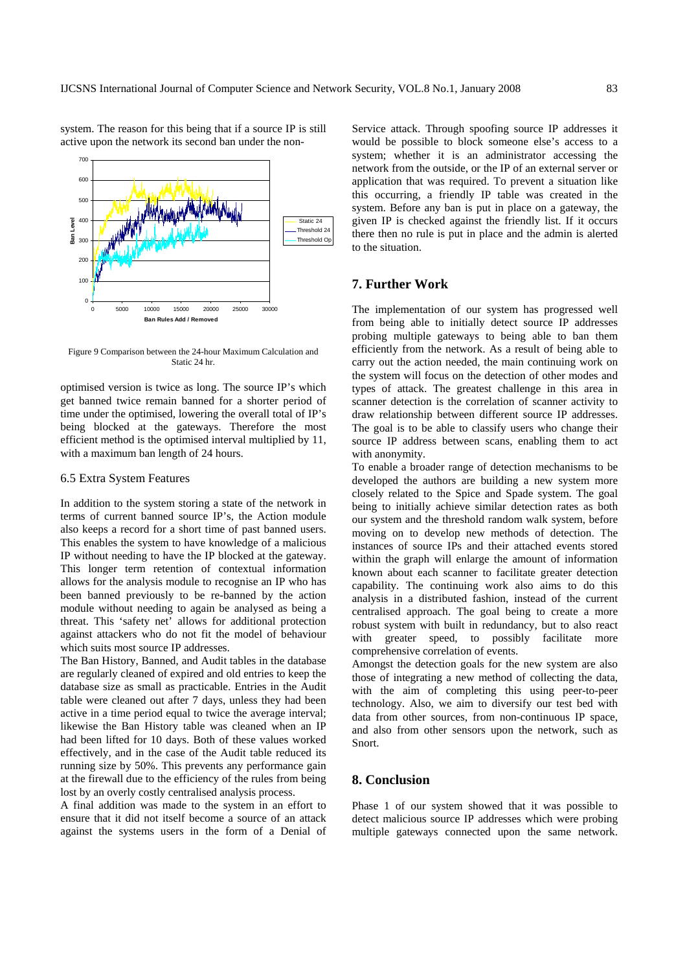system. The reason for this being that if a source IP is still active upon the network its second ban under the non-



Figure 9 Comparison between the 24-hour Maximum Calculation and Static 24 hr.

optimised version is twice as long. The source IP's which get banned twice remain banned for a shorter period of time under the optimised, lowering the overall total of IP's being blocked at the gateways. Therefore the most efficient method is the optimised interval multiplied by 11, with a maximum ban length of 24 hours.

### 6.5 Extra System Features

In addition to the system storing a state of the network in terms of current banned source IP's, the Action module also keeps a record for a short time of past banned users. This enables the system to have knowledge of a malicious IP without needing to have the IP blocked at the gateway. This longer term retention of contextual information allows for the analysis module to recognise an IP who has been banned previously to be re-banned by the action module without needing to again be analysed as being a threat. This 'safety net' allows for additional protection against attackers who do not fit the model of behaviour which suits most source IP addresses.

The Ban History, Banned, and Audit tables in the database are regularly cleaned of expired and old entries to keep the database size as small as practicable. Entries in the Audit table were cleaned out after 7 days, unless they had been active in a time period equal to twice the average interval; likewise the Ban History table was cleaned when an IP had been lifted for 10 days. Both of these values worked effectively, and in the case of the Audit table reduced its running size by 50%. This prevents any performance gain at the firewall due to the efficiency of the rules from being lost by an overly costly centralised analysis process.

A final addition was made to the system in an effort to ensure that it did not itself become a source of an attack against the systems users in the form of a Denial of Service attack. Through spoofing source IP addresses it would be possible to block someone else's access to a system; whether it is an administrator accessing the network from the outside, or the IP of an external server or application that was required. To prevent a situation like this occurring, a friendly IP table was created in the system. Before any ban is put in place on a gateway, the given IP is checked against the friendly list. If it occurs there then no rule is put in place and the admin is alerted to the situation.

# **7. Further Work**

The implementation of our system has progressed well from being able to initially detect source IP addresses probing multiple gateways to being able to ban them efficiently from the network. As a result of being able to carry out the action needed, the main continuing work on the system will focus on the detection of other modes and types of attack. The greatest challenge in this area in scanner detection is the correlation of scanner activity to draw relationship between different source IP addresses. The goal is to be able to classify users who change their source IP address between scans, enabling them to act with anonymity.

To enable a broader range of detection mechanisms to be developed the authors are building a new system more closely related to the Spice and Spade system. The goal being to initially achieve similar detection rates as both our system and the threshold random walk system, before moving on to develop new methods of detection. The instances of source IPs and their attached events stored within the graph will enlarge the amount of information known about each scanner to facilitate greater detection capability. The continuing work also aims to do this analysis in a distributed fashion, instead of the current centralised approach. The goal being to create a more robust system with built in redundancy, but to also react with greater speed, to possibly facilitate more comprehensive correlation of events.

Amongst the detection goals for the new system are also those of integrating a new method of collecting the data, with the aim of completing this using peer-to-peer technology. Also, we aim to diversify our test bed with data from other sources, from non-continuous IP space, and also from other sensors upon the network, such as Snort.

# **8. Conclusion**

Phase 1 of our system showed that it was possible to detect malicious source IP addresses which were probing multiple gateways connected upon the same network.